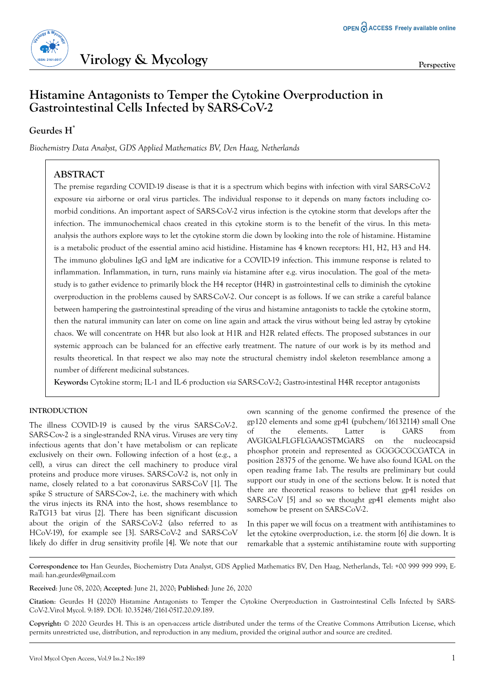

# **Histamine Antagonists to Temper the Cytokine Overproduction in Gastrointestinal Cells Infected by SARS-CoV-2**

### **Geurdes H\***

*Biochemistry Data Analyst, GDS Applied Mathematics BV, Den Haag, Netherlands*

### **ABSTRACT**

The premise regarding COVID-19 disease is that it is a spectrum which begins with infection with viral SARS-CoV-2 exposure *via* airborne or oral virus particles. The individual response to it depends on many factors including comorbid conditions. An important aspect of SARS-CoV-2 virus infection is the cytokine storm that develops after the infection. The immunochemical chaos created in this cytokine storm is to the benefit of the virus. In this metaanalysis the authors explore ways to let the cytokine storm die down by looking into the role of histamine. Histamine is a metabolic product of the essential amino acid histidine. Histamine has 4 known receptors: H1, H2, H3 and H4. The immuno globulines IgG and IgM are indicative for a COVID-19 infection. This immune response is related to inflammation. Inflammation, in turn, runs mainly *via* histamine after e.g. virus inoculation. The goal of the metastudy is to gather evidence to primarily block the H4 receptor (H4R) in gastrointestinal cells to diminish the cytokine overproduction in the problems caused by SARS-CoV-2. Our concept is as follows. If we can strike a careful balance between hampering the gastrointestinal spreading of the virus and histamine antagonists to tackle the cytokine storm, then the natural immunity can later on come on line again and attack the virus without being led astray by cytokine chaos. We will concentrate on H4R but also look at H1R and H2R related effects. The proposed substances in our systemic approach can be balanced for an effective early treatment. The nature of our work is by its method and results theoretical. In that respect we also may note the structural chemistry indol skeleton resemblance among a number of different medicinal substances.

**Keywords:** Cytokine storm; IL-1 and IL-6 production *via* SARS-CoV-2; Gastro-intestinal H4R receptor antagonists

### **INTRODUCTION**

The illness COVID-19 is caused by the virus SARS-CoV-2. SARS-Cov-2 is a single-stranded RNA virus. Viruses are very tiny infectious agents that don't have metabolism or can replicate exclusively on their own. Following infection of a host (e.g., a cell), a virus can direct the cell machinery to produce viral proteins and produce more viruses. SARS-CoV-2 is, not only in name, closely related to a bat coronavirus SARS-CoV [1]. The spike S structure of SARS-Cov-2, i.e. the machinery with which the virus injects its RNA into the host, shows resemblance to RaTG13 bat virus [2]. There has been significant discussion about the origin of the SARS-CoV-2 (also referred to as HCoV-19), for example see [3]. SARS-CoV-2 and SARS-CoV likely do differ in drug sensitivity profile [4]. We note that our

own scanning of the genome confirmed the presence of the gp120 elements and some gp41 (pubchem/16132114) small One of the elements. Latter is GARS from AVGIGALFLGFLGAAGSTMGARS on the nucleocapsid phosphor protein and represented as GGGGCGCGATCA in position 28375 of the genome. We have also found IGAL on the open reading frame 1ab. The results are preliminary but could support our study in one of the sections below. It is noted that there are theoretical reasons to believe that gp41 resides on SARS-CoV [5] and so we thought gp41 elements might also somehow be present on SARS-CoV-2.

In this paper we will focus on a treatment with antihistamines to let the cytokine overproduction, i.e. the storm [6] die down. It is remarkable that a systemic antihistamine route with supporting

**Correspondence to:** Han Geurdes, Biochemistry Data Analyst, GDS Applied Mathematics BV, Den Haag, Netherlands, Tel: +00 999 999 999; Email: han.geurdes@gmail.com

**Received**: June 08, 2020; **Accepted**: June 21, 2020; **Published**: June 26, 2020

**Citation**: Geurdes H (2020) Histamine Antagonists to Temper the Cytokine Overproduction in Gastrointestinal Cells Infected by SARS-CoV-2.Virol Mycol. 9:189. DOI: 10.35248/2161-0517.20.09.189.

**Copyright:** © 2020 Geurdes H. This is an open-access article distributed under the terms of the Creative Commons Attribution License, which permits unrestricted use, distribution, and reproduction in any medium, provided the original author and source are credited.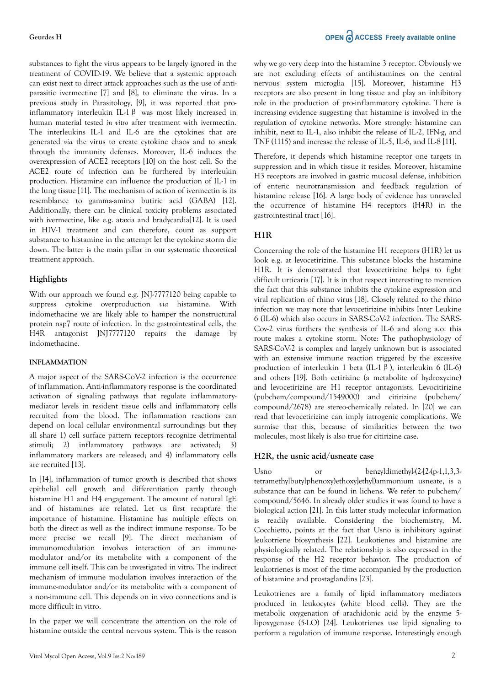### **Geurdes H**

substances to fight the virus appears to be largely ignored in the treatment of COVID-19. We believe that a systemic approach can exist next to direct attack approaches such as the use of antiparasitic ivermectine [7] and [8], to eliminate the virus. In a previous study in Parasitology, [9], it was reported that proinflammatory interleukin IL-1 $\beta$  was most likely increased in human material tested *in vitro* after treatment with ivermectin. The interleukins IL-1 and IL-6 are the cytokines that are generated *via* the virus to create cytokine chaos and to sneak through the immunity defenses. Moreover, IL-6 induces the overexpression of ACE2 receptors [10] on the host cell. So the ACE2 route of infection can be furthered by interleukin production. Histamine can influence the production of IL-1 in the lung tissue [11]. The mechanism of action of ivermectin is its resemblance to gamma-amino butiric acid (GABA) [12]. Additionally, there can be clinical toxicity problems associated with ivermectine, like e.g. ataxia and bradycardia[12]. It is used in HIV-1 treatment and can therefore, count as support substance to histamine in the attempt let the cytokine storm die down. The latter is the main pillar in our systematic theoretical treatment approach.

### **Highlights**

With our approach we found e.g. JNJ-7777120 being capable to suppress cytokine overproduction *via* histamine. With indomethacine we are likely able to hamper the nonstructural protein nsp7 route of infection. In the gastrointestinal cells, the H4R antagonist JNJ7777120 repairs the damage by indomethacine.

### **INFLAMMATION**

A major aspect of the SARS-CoV-2 infection is the occurrence of inflammation. Anti-inflammatory response is the coordinated activation of signaling pathways that regulate inflammatorymediator levels in resident tissue cells and inflammatory cells recruited from the blood. The inflammation reactions can depend on local cellular environmental surroundings but they all share 1) cell surface pattern receptors recognize detrimental stimuli; 2) inflammatory pathways are activated; 3) inflammatory markers are released; and 4) inflammatory cells are recruited [13].

In [14], inflammation of tumor growth is described that shows epithelial cell growth and differentiation partly through histamine H1 and H4 engagement. The amount of natural IgE and of histamines are related. Let us first recapture the importance of histamine. Histamine has multiple effects on both the direct as well as the indirect immune response. To be more precise we recall [9]. The direct mechanism of immunomodulation involves interaction of an immunemodulator and/or its metabolite with a component of the immune cell itself. This can be investigated in vitro. The indirect mechanism of immune modulation involves interaction of the immune-modulator and/or its metabolite with a component of a non-immune cell. This depends on in vivo connections and is more difficult in vitro.

In the paper we will concentrate the attention on the role of histamine outside the central nervous system. This is the reason why we go very deep into the histamine 3 receptor. Obviously we are not excluding effects of antihistamines on the central nervous system microglia [15]. Moreover, histamine H3 receptors are also present in lung tissue and play an inhibitory role in the production of pro-inflammatory cytokine. There is increasing evidence suggesting that histamine is involved in the regulation of cytokine networks. More strongly: histamine can inhibit, next to IL-1, also inhibit the release of IL-2, IFN-g, and TNF (1115) and increase the release of IL-5, IL-6, and IL-8 [11].

Therefore, it depends which histamine receptor one targets in suppression and in which tissue it resides. Moreover, histamine H3 receptors are involved in gastric mucosal defense, inhibition of enteric neurotransmission and feedback regulation of histamine release [16]. A large body of evidence has unraveled the occurrence of histamine H4 receptors (H4R) in the gastrointestinal tract [16].

### **H1R**

Concerning the role of the histamine H1 receptors (H1R) let us look e.g. at levocetirizine. This substance blocks the histamine H1R. It is demonstrated that levocetirizine helps to fight difficult urticaria [17]. It is in that respect interesting to mention the fact that this substance inhibits the cytokine expression and viral replication of rhino virus [18]. Closely related to the rhino infection we may note that levocetirizine inhibits Inter Leukine 6 (IL-6) which also occurs in SARS-CoV-2 infection. The SARS-Cov-2 virus furthers the synthesis of IL-6 and along a.o. this route makes a cytokine storm. Note: The pathophysiology of SARS-CoV-2 is complex and largely unknown but is associated with an extensive immune reaction triggered by the excessive production of interleukin 1 beta (IL-1β), interleukin 6 (IL-6) and others [19]. Both cetirizine (a metabolite of hydroxyzine) and levocetirizine are H1 receptor antagonists. Levocitirizine (pubchem/compound/1549000) and citirizine (pubchem/ compound/2678) are stereo-chemically related. In [20] we can read that levocetirizine can imply iatrogenic complications. We surmise that this, because of similarities between the two molecules, most likely is also true for citirizine case.

### **H2R, the usnic acid/usneate case**

Usno or benzyldimethyl-(2-[2-(p-1,1,3,3tetramethylbutylphenoxy)ethoxy]ethyl)ammonium usneate, is a substance that can be found in lichens. We refer to pubchem/ compound/5646. In already older studies it was found to have a biological action [21]. In this latter study molecular information is readily available. Considering the biochemistry, M. Cocchietto, points at the fact that Usno is inhibitory against leukotriene biosynthesis [22]. Leukotienes and histamine are physiologically related. The relationship is also expressed in the response of the H2 receptor behavior. The production of leukotrienes is most of the time accompanied by the production of histamine and prostaglandins [23].

Leukotrienes are a family of lipid inflammatory mediators produced in leukocytes (white blood cells). They are the metabolic oxygenation of arachidonic acid by the enzyme 5 lipoxygenase (5-LO) [24]. Leukotrienes use lipid signaling to perform a regulation of immune response. Interestingly enough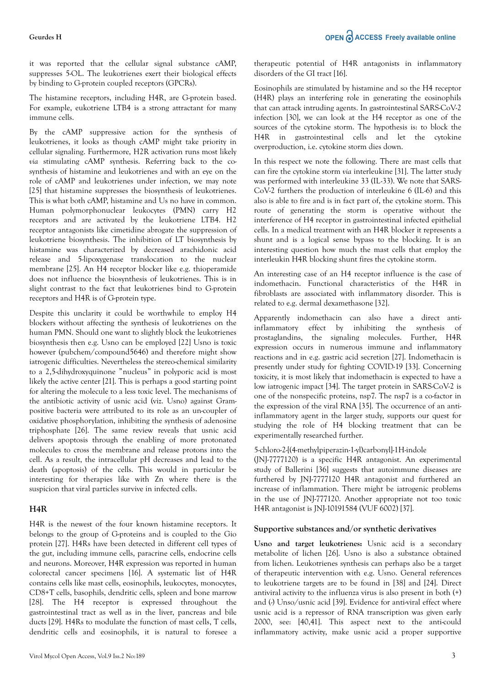#### **Geurdes H**

it was reported that the cellular signal substance cAMP, suppresses 5-OL. The leukotrienes exert their biological effects by binding to G-protein coupled receptors (GPCRs).

The histamine receptors, including H4R, are G-protein based. For example, eukotriene LTB4 is a strong attractant for many immune cells.

By the cAMP suppressive action for the synthesis of leukotrienes, it looks as though cAMP might take priority in cellular signaling. Furthermore, H2R activation runs most likely *via* stimulating cAMP synthesis. Referring back to the cosynthesis of histamine and leukotrienes and with an eye on the role of cAMP and leukotrienes under infection, we may note [25] that histamine suppresses the biosynthesis of leukotrienes. This is what both cAMP, histamine and Us no have in common. Human polymorphonuclear leukocytes (PMN) carry H2 receptors and are activated by the leukotriene LTB4. H2 receptor antagonists like cimetidine abrogate the suppression of leukotriene biosynthesis. The inhibition of LT biosynthesis by histamine was characterized by decreased arachidonic acid release and 5-lipoxygenase translocation to the nuclear membrane [25]. An H4 receptor blocker like e.g. thioperamide does not influence the biosynthesis of leukotrienes. This is in slight contrast to the fact that leukotrienes bind to G-protein receptors and H4R is of G-protein type.

Despite this unclarity it could be worthwhile to employ H4 blockers without affecting the synthesis of leukotrienes on the human PMN. Should one want to slightly block the leukotrienes biosynthesis then e.g. Usno can be employed [22] Usno is toxic however (pubchem/compound5646) and therefore might show iatrogenic difficulties. Nevertheless the stereo-chemical similarity to a 2,5-dihydroxyquinone "nucleus" in polyporic acid is most likely the active center [21]. This is perhaps a good starting point for altering the molecule to a less toxic level. The mechanisms of the antibiotic activity of usnic acid (viz. Usno) against Grampositive bacteria were attributed to its role as an un-coupler of oxidative phosphorylation, inhibiting the synthesis of adenosine triphosphate [26]. The same review reveals that usnic acid delivers apoptosis through the enabling of more protonated molecules to cross the membrane and release protons into the cell. As a result, the intracellular pH decreases and lead to the death (apoptosis) of the cells. This would in particular be interesting for therapies like with Zn where there is the suspicion that viral particles survive in infected cells.

### **H4R**

H4R is the newest of the four known histamine receptors. It belongs to the group of G-proteins and is coupled to the Gio protein [27]. H4Rs have been detected in different cell types of the gut, including immune cells, paracrine cells, endocrine cells and neurons. Moreover, H4R expression was reported in human colorectal cancer specimens [16]. A systematic list of H4R contains cells like mast cells, eosinophils, leukocytes, monocytes, CD8+T cells, basophils, dendritic cells, spleen and bone marrow [28]. The H4 receptor is expressed throughout the gastrointestinal tract as well as in the liver, pancreas and bile ducts [29]. H4Rs to modulate the function of mast cells, T cells, dendritic cells and eosinophils, it is natural to foresee a therapeutic potential of H4R antagonists in inflammatory disorders of the GI tract [16].

Eosinophils are stimulated by histamine and so the H4 receptor (H4R) plays an interfering role in generating the eosinophils that can attack intruding agents. In gastrointestinal SARS-CoV-2 infection [30], we can look at the H4 receptor as one of the sources of the cytokine storm. The hypothesis is: to block the H4R in gastrointestinal cells and let the cytokine overproduction, i.e. cytokine storm dies down.

In this respect we note the following. There are mast cells that can fire the cytokine storm *via* interleukine [31]. The latter study was performed with interleukine 33 (IL-33). We note that SARS-CoV-2 furthers the production of interleukine 6 (IL-6) and this also is able to fire and is in fact part of, the cytokine storm. This route of generating the storm is operative without the interference of H4 receptor in gastrointestinal infected epithelial cells. In a medical treatment with an H4R blocker it represents a shunt and is a logical sense bypass to the blocking. It is an interesting question how much the mast cells that employ the interleukin H4R blocking shunt fires the cytokine storm.

An interesting case of an H4 receptor influence is the case of indomethacin. Functional characteristics of the H4R in fibroblasts are associated with inflammatory disorder. This is related to e.g. dermal dexamethasone [32].

Apparently indomethacin can also have a direct antiinflammatory effect by inhibiting the synthesis of prostaglandins, the signaling molecules. Further, H4R expression occurs in numerous immune and inflammatory reactions and in e.g. gastric acid secretion [27]. Indomethacin is presently under study for fighting COVID-19 [33]. Concerning toxicity, it is most likely that indomethacin is expected to have a low iatrogenic impact [34]. The target protein in SARS-CoV-2 is one of the nonspecific proteins, nsp7. The nsp7 is a co-factor in the expression of the viral RNA [35]. The occurrence of an antiinflammatory agent in the larger study, supports our quest for studying the role of H4 blocking treatment that can be experimentally researched further.

### 5-chloro-2-[(4-methylpiperazin-1-yl)carbonyl]-1H-indole

(JNJ-7777120) is a specific H4R antagonist. An experimental study of Ballerini [36] suggests that autoimmune diseases are furthered by JNJ-7777120 H4R antagonist and furthered an increase of inflammation. There might be iatrogenic problems in the use of JNJ-777120. Another appropriate not too toxic H4R antagonist is JNJ-10191584 (VUF 6002) [37].

### **Supportive substances and/or synthetic derivatives**

**Usno and target leukotrienes:** Usnic acid is a secondary metabolite of lichen [26]. Usno is also a substance obtained from lichen. Leukotrienes synthesis can perhaps also be a target of therapeutic intervention with e.g. Usno. General references to leukotriene targets are to be found in [38] and [24]. Direct antiviral activity to the influenza virus is also present in both (+) and (-) Unso/usnic acid [39]. Evidence for anti-viral effect where usnic acid is a repressor of RNA transcription was given early 2000, see: [40,41]. This aspect next to the anti-could inflammatory activity, make usnic acid a proper supportive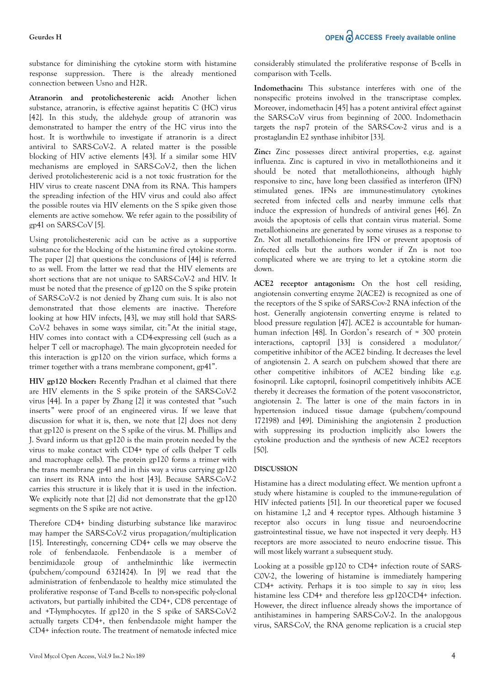#### **Geurdes H**

substance for diminishing the cytokine storm with histamine response suppression. There is the already mentioned connection between Usno and H2R.

**Atranorin and protolichesterenic acid:** Another lichen substance, atranorin, is effective against hepatitis C (HC) virus [42]. In this study, the aldehyde group of atranorin was demonstrated to hamper the entry of the HC virus into the host. It is worthwhile to investigate if atranorin is a direct antiviral to SARS-CoV-2. A related matter is the possible blocking of HIV active elements [43]. If a similar some HIV mechanisms are employed in SARS-CoV-2, then the lichen derived protolichesterenic acid is a not toxic frustration for the HIV virus to create nascent DNA from its RNA. This hampers the spreading infection of the HIV virus and could also affect the possible routes via HIV elements on the S spike given those elements are active somehow. We refer again to the possibility of  $gp41$  on SARS-CoV [5].

Using protolichesterenic acid can be active as a supportive substance for the blocking of the histamine fired cytokine storm. The paper [2] that questions the conclusions of [44] is referred to as well. From the latter we read that the HIV elements are short sections that are not unique to SARS-CoV-2 and HIV. It must be noted that the presence of gp120 on the S spike protein of SARS-CoV-2 is not denied by Zhang cum suis. It is also not demonstrated that those elements are inactive. Therefore looking at how HIV infects, [43], we may still hold that SARS-CoV-2 behaves in some ways similar, cit:"At the initial stage, HIV comes into contact with a CD4-expressing cell (such as a helper T cell or macrophage). The main glycoprotein needed for this interaction is gp120 on the virion surface, which forms a trimer together with a trans membrane component, gp41".

**HIV gp120 blocker:** Recently Pradhan et al claimed that there are HIV elements in the S spike protein of the SARS-CoV-2 virus [44]. In a paper by Zhang [2] it was contested that "such inserts" were proof of an engineered virus. If we leave that discussion for what it is, then, we note that [2] does not deny that gp120 is present on the S spike of the virus. M. Phillips and J. Svard inform us that gp120 is the main protein needed by the virus to make contact with CD4+ type of cells (helper T cells and macrophage cells). The protein gp120 forms a trimer with the trans membrane gp41 and in this way a virus carrying gp120 can insert its RNA into the host [43]. Because SARS-CoV-2 carries this structure it is likely that it is used in the infection. We explicitly note that [2] did not demonstrate that the gp120 segments on the S spike are not active.

Therefore CD4+ binding disturbing substance like maraviroc may hamper the SARS-CoV-2 virus propagation/multiplication [15]. Interestingly, concerning CD4+ cells we may observe the role of fenbendazole. Fenbendazole is a member of benzimidazole group of anthelminthic like ivermectin (pubchem/compound 6321424). In [9] we read that the administration of fenbendazole to healthy mice stimulated the proliferative response of T-and B-cells to non-specific poly-clonal activators, but partially inhibited the CD4+, CD8 percentage of and +T-lymphocytes. If gp120 in the S spike of SARS-CoV-2 actually targets CD4+, then fenbendazole might hamper the CD4+ infection route. The treatment of nematode infected mice considerably stimulated the proliferative response of B-cells in comparison with T-cells.

**Indomethacin:** This substance interferes with one of the nonspecific proteins involved in the transcriptase complex. Moreover, indomethacin [45] has a potent antiviral effect against the SARS-CoV virus from beginning of 2000. Indomethacin targets the nsp7 protein of the SARS-Cov-2 virus and is a prostaglandin E2 synthase inhibitor [33].

**Zinc:** Zinc possesses direct antiviral properties, e.g. against influenza. Zinc is captured in vivo in metallothioneins and it should be noted that metallothioneins, although highly responsive to zinc, have long been classified as interferon (IFN) stimulated genes. IFNs are immune-stimulatory cytokines secreted from infected cells and nearby immune cells that induce the expression of hundreds of antiviral genes [46]. Zn avoids the apoptosis of cells that contain virus material. Some metallothioneins are generated by some viruses as a response to Zn. Not all metallothioneins fire IFN or prevent apoptosis of infected cells but the authors wonder if Zn is not too complicated where we are trying to let a cytokine storm die down.

**ACE2 receptor antagonism:** On the host cell residing, angiotensin converting enzyme 2(ACE2) is recognized as one of the receptors of the S spike of SARS-Cov-2 RNA infection of the host. Generally angiotensin converting enzyme is related to blood pressure regulation [47]. ACE2 is accountable for humanhuman infection [48]. In Gordon's research of  $\approx$  300 protein interactions, captopril [33] is considered a modulator/ competitive inhibitor of the ACE2 binding. It decreases the level of angiotensin 2. A search on pubchem showed that there are other competitive inhibitors of ACE2 binding like e.g. fosinopril. Like captopril, fosinopril competitively inhibits ACE thereby it decreases the formation of the potent vasoconstrictor, angiotensin 2. The latter is one of the main factors in in hypertension induced tissue damage (pubchem/compound 172198) and [49]. Diminishing the angiotensin 2 production with suppressing its production implicitly also lowers the cytokine production and the synthesis of new ACE2 receptors [50].

### **DISCUSSION**

Histamine has a direct modulating effect. We mention upfront a study where histamine is coupled to the immune-regulation of HIV infected patients [51]. In our theoretical paper we focused on histamine 1,2 and 4 receptor types. Although histamine 3 receptor also occurs in lung tissue and neuroendocrine gastrointestinal tissue, we have not inspected it very deeply. H3 receptors are more associated to neuro endocrine tissue. This will most likely warrant a subsequent study.

Looking at a possible gp120 to CD4+ infection route of SARS-C0V-2, the lowering of histamine is immediately hampering CD4+ activity. Perhaps it is too simple to say *in vivo*; less histamine less CD4+ and therefore less gp120-CD4+ infection. However, the direct influence already shows the importance of antihistamines in hampering SARS-CoV-2. In the analopgous virus, SARS-CoV, the RNA genome replication is a crucial step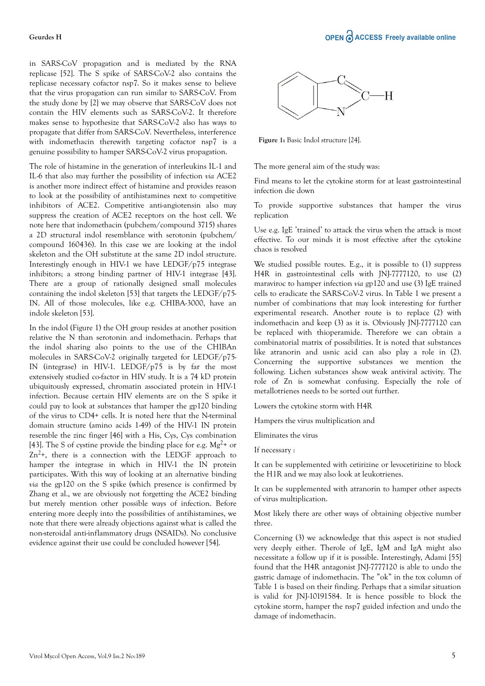in SARS-CoV propagation and is mediated by the RNA replicase [52]. The S spike of SARS-CoV-2 also contains the replicase necessary cofactor nsp7. So it makes sense to believe that the virus propagation can run similar to SARS-CoV. From the study done by [2] we may observe that SARS-CoV does not contain the HIV elements such as SARS-CoV-2. It therefore makes sense to hypothesize that SARS-CoV-2 also has ways to propagate that differ from SARS-CoV. Nevertheless, interference with indomethacin therewith targeting cofactor nsp7 is a genuine possibility to hamper SARS-CoV-2 virus propagation.

The role of histamine in the generation of interleukins IL-1 and IL-6 that also may further the possibility of infection *via* ACE2 is another more indirect effect of histamine and provides reason to look at the possibility of antihistamines next to competitive inhibitors of ACE2. Competitive anti-angiotensin also may suppress the creation of ACE2 receptors on the host cell. We note here that indomethacin (pubchem/compound 3715) shares a 2D structural indol resemblance with serotonin (pubchem/ compound 160436). In this case we are looking at the indol skeleton and the OH substitute at the same 2D indol structure. Interestingly enough in HIV-1 we have LEDGF/p75 integrase inhibitors; a strong binding partner of HIV-1 integrase [43]. There are a group of rationally designed small molecules containing the indol skeleton [53] that targets the LEDGF/p75- IN. All of those molecules, like e.g. CHIBA-3000, have an indole skeleton [53].

In the indol (Figure 1) the OH group resides at another position relative the N than serotonin and indomethacin. Perhaps that the indol sharing also points to the use of the CHIBAn molecules in SARS-CoV-2 originally targeted for LEDGF/p75- IN (integrase) in HIV-1. LEDGF/p75 is by far the most extensively studied co-factor in HIV study. It is a 74 kD protein ubiquitously expressed, chromatin associated protein in HIV-1 infection. Because certain HIV elements are on the S spike it could pay to look at substances that hamper the gp120 binding of the virus to CD4+ cells. It is noted here that the N-terminal domain structure (amino acids 1-49) of the HIV-1 IN protein resemble the zinc finger [46] with a His, Cys, Cys combination [43]. The S of cystine provide the binding place for e.g.  $Mg^{2+}$  or  $Zn^{2+}$ , there is a connection with the LEDGF approach to hamper the integrase in which in HIV-1 the IN protein participates. With this way of looking at an alternative binding *via* the gp120 on the S spike (which presence is confirmed by Zhang et al., we are obviously not forgetting the ACE2 binding but merely mention other possible ways of infection. Before entering more deeply into the possibilities of antihistamines, we note that there were already objections against what is called the non-steroidal anti-inflammatory drugs (NSAIDs). No conclusive evidence against their use could be concluded however [54].



**Figure 1:** Basic Indol structure [24].

The more general aim of the study was:

Find means to let the cytokine storm for at least gastrointestinal infection die down

To provide supportive substances that hamper the virus replication

Use e.g. IgE 'trained' to attack the virus when the attack is most effective. To our minds it is most effective after the cytokine chaos is resolved

We studied possible routes. E.g., it is possible to (1) suppress H4R in gastrointestinal cells with JNJ-7777120, to use (2) maraviroc to hamper infection *via* gp120 and use (3) IgE trained cells to eradicate the SARS-CoV-2 virus. In Table 1 we present a number of combinations that may look interesting for further experimental research. Another route is to replace (2) with indomethacin and keep (3) as it is. Obviously JNJ-7777120 can be replaced with thioperamide. Therefore we can obtain a combinatorial matrix of possibilities. It is noted that substances like atranorin and usnic acid can also play a role in (2). Concerning the supportive substances we mention the following. Lichen substances show weak antiviral activity. The role of Zn is somewhat confusing. Especially the role of metallotrienes needs to be sorted out further.

Lowers the cytokine storm with H4R

Hampers the virus multiplication and

Eliminates the virus

If necessary :

It can be supplemented with cetirizine or levocetirizine to block the H1R and we may also look at leukotrienes.

It can be supplemented with atranorin to hamper other aspects of virus multiplication.

Most likely there are other ways of obtaining objective number three.

Concerning (3) we acknowledge that this aspect is not studied very deeply either. Therole of IgE, IgM and IgA might also necessitate a follow up if it is possible. Interestingly, Adami [55] found that the H4R antagonist JNJ-7777120 is able to undo the gastric damage of indomethacin. The "ok" in the tox column of Table 1 is based on their finding. Perhaps that a similar situation is valid for JNJ-10191584. It is hence possible to block the cytokine storm, hamper the nsp7 guided infection and undo the damage of indomethacin.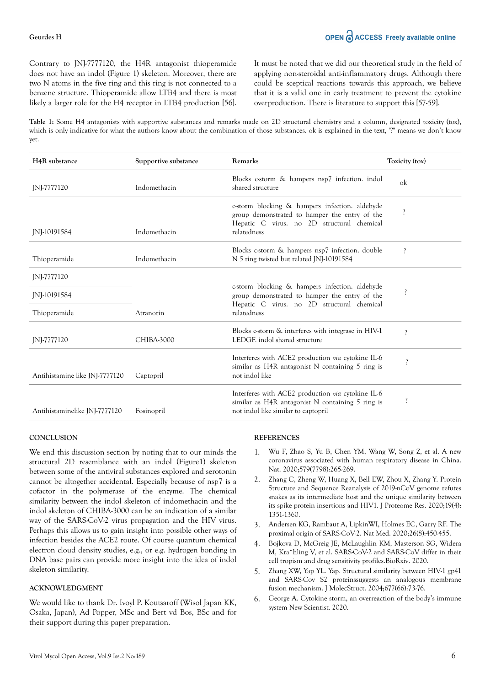Contrary to JNJ-7777120, the H4R antagonist thioperamide does not have an indol (Figure 1) skeleton. Moreover, there are two N atoms in the five ring and this ring is not connected to a benzene structure. Thioperamide allow LTB4 and there is most likely a larger role for the H4 receptor in LTB4 production [56]. It must be noted that we did our theoretical study in the field of applying non-steroidal anti-inflammatory drugs. Although there could be sceptical reactions towards this approach, we believe that it is a valid one in early treatment to prevent the cytokine overproduction. There is literature to support this [57-59].

**Table 1:** Some H4 antagonists with supportive substances and remarks made on 2D structural chemistry and a column, designated toxicity (tox), which is only indicative for what the authors know about the combination of those substances. ok is explained in the text, "?" means we don't know yet.

| H <sub>4</sub> R substance     | Supportive substance | Remarks                                                                                                                                                      | Toxicity (tox)           |
|--------------------------------|----------------------|--------------------------------------------------------------------------------------------------------------------------------------------------------------|--------------------------|
| JNJ-7777120                    | Indomethacin         | Blocks c-storm & hampers nsp7 infection. indol<br>shared structure                                                                                           | $\alpha$                 |
| INI-10191584                   | Indomethacin         | c-storm blocking & hampers infection. aldehyde<br>group demonstrated to hamper the entry of the<br>Hepatic C virus. no 2D structural chemical<br>relatedness |                          |
| Thioperamide                   | Indomethacin         | Blocks c-storm & hampers nsp7 infection. double<br>N 5 ring twisted but related JNJ-10191584                                                                 |                          |
| JNJ-7777120                    |                      |                                                                                                                                                              |                          |
| JNJ-10191584                   |                      | c-storm blocking & hampers infection. aldehyde<br>group demonstrated to hamper the entry of the                                                              | $\overline{\phantom{a}}$ |
| Thioperamide                   | Atranorin            | Hepatic C virus. no 2D structural chemical<br>relatedness                                                                                                    |                          |
| JNJ-7777120                    | CHIBA-3000           | Blocks c-storm & interferes with integrase in HIV-1<br>LEDGF, indol shared structure                                                                         | $\gamma$                 |
| Antihistamine like JNJ-7777120 | Captopril            | Interferes with ACE2 production via cytokine IL-6<br>similar as H4R antagonist N containing 5 ring is<br>not indol like                                      | $\overline{\phantom{a}}$ |
| Antihistaminelike JNJ-7777120  | Fosinopril           | Interferes with ACE2 production via cytokine IL-6<br>similar as H4R antagonist N containing 5 ring is<br>not indol like similar to captopril                 | $\overline{\cdot}$       |

#### **CONCLUSION**

We end this discussion section by noting that to our minds the structural 2D resemblance with an indol (Figure1) skeleton between some of the antiviral substances explored and serotonin cannot be altogether accidental. Especially because of nsp7 is a cofactor in the polymerase of the enzyme. The chemical similarity between the indol skeleton of indomethacin and the indol skeleton of CHIBA-3000 can be an indication of a similar way of the SARS-CoV-2 virus propagation and the HIV virus. Perhaps this allows us to gain insight into possible other ways of infection besides the ACE2 route. Of course quantum chemical electron cloud density studies, e.g., or e.g. hydrogen bonding in DNA base pairs can provide more insight into the idea of indol skeleton similarity.

### **ACKNOWLEDGMENT**

We would like to thank Dr. Ivoyl P. Koutsaroff (Wisol Japan KK, Osaka, Japan), Ad Popper, MSc and Bert vd Bos, BSc and for their support during this paper preparation.

#### **REFERENCES**

- 1. Wu F, Zhao S, Yu B, Chen YM, Wang W, Song Z, et al. A new coronavirus associated with human respiratory disease in China. Nat. 2020;579(7798):265-269.
- Zhang C, Zheng W, Huang X, Bell EW, Zhou X, Zhang Y. Protein Structure and Sequence Reanalysis of 2019-nCoV genome refutes snakes as its intermediate host and the unique similarity between its spike protein insertions and HIV1. J Proteome Res. 2020;19(4): 1351-1360.
- 3. Andersen KG, Rambaut A, LipkinWI, Holmes EC, Garry RF. The proximal origin of SARS-CoV-2. Nat Med. 2020;26(8):450-455.
- 4. Bojkova D, McGreig JE, McLaughlin KM, Masterson SG, Widera M, Kra¨hling V, et al. SARS-CoV-2 and SARS-CoV differ in their cell tropism and drug sensitivity profiles.BioRxiv. 2020.
- 5. Zhang XW, Yap YL. Yap. Structural similarity between HIV-1 gp41 and SARS-Cov S2 proteinssuggests an analogous membrane fusion mechanism. J MolecStruct. 2004;677(66):73-76.
- 6. George A. Cytokine storm, an overreaction of the body's immune system New Scientist. 2020.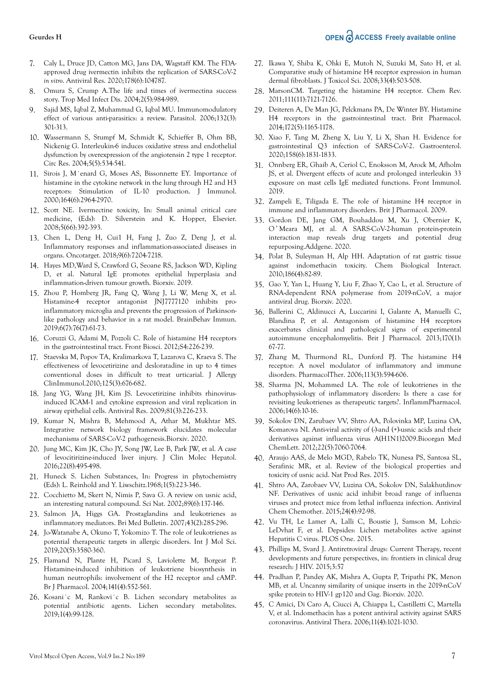## OPEN CACCESS Freely available online

#### **Geurdes H**

- 7. Caly L, Druce JD, Catton MG, Jans DA, Wagstaff KM. The FDAapproved drug ivermectin inhibits the replication of SARS-CoV-2 *in vitro*. Antiviral Res. 2020;178(6):104787.
- 8. Omura S, Crump A.The life and times of ivermectina success story. Trop Med Infect Dis. 2004;2(5):984-989.
- 9. Sajid MS, Iqbal Z, Muhammad G, Iqbal MU. Immunomodulatory effect of various anti-parasitics: a review. Parasitol. 2006;132(3): 301-313.
- 10. Wassermann S, Stumpf M, Schmidt K, Schieffer B, Ohm BB, Nickenig G. Interleukin-6 induces oxidative stress and endothelial dysfunction by overexpression of the angiotensin 2 type 1 receptor. Circ Res. 2004;5(5):534-541.
- 11. Sirois J, M´enard G, Moses AS, Bissonnette EY. Importance of histamine in the cytokine network in the lung through H2 and H3 receptors: Stimulation of IL-10 production. J Immunol. 2000;164(6):2964-2970.
- 12. Scott NE. Ivermectine toxicity, In: Small animal critical care medicine, (Eds): D. Silverstein and K. Hopper, Elsevier. 2008;5(66):392-393.
- 13. Chen L, Deng H, Cui1 H, Fang J, Zuo Z, Deng J, et al. Inflammatory responses and inflammation-associated diseases in organs. Oncotarget. 2018;9(6):7204-7218.
- 14. Hayes MD,Ward S, Crawford G, Seoane RS, Jackson WD, Kipling D, et al. Natural IgE promotes epithelial hyperplasia and inflammation-driven tumour growth. Biorxiv. 2019.
- 15. Zhou P, Homberg JR, Fang Q, Wang J, Li W, Meng X, et al. Histamine-4 receptor antagonist JNJ7777120 inhibits proinflammatory microglia and prevents the progression of Parkinsonlike pathology and behavior in a rat model. BrainBehav Immun. 2019;6(7):76(7):61-73.
- 16. Coruzzi G, Adami M, Pozzoli C. Role of histamine H4 receptors in the gastrointestinal tract. Front Biosci. 2012;S4:226-239.
- 17. Staevska M, Popov TA, Kralimarkova T, Lazarova C, Kraeva S. The effectiveness of levocetirizine and desloratadine in up to 4 times conventional doses in difficult to treat urticarial. J Allergy ClinImmunol.2010;125(3):676-682.
- 18. Jang YG, Wang JH, Kim JS. Levocetirizine inhibits rhinovirusinduced ICAM-1 and cytokine expression and viral replication in airway epithelial cells. Antiviral Res. 2009;81(3):226-233.
- 19. Kumar N, Mishra B, Mehmood A, Athar M, Mukhtar MS. Integrative network biology framework elucidates molecular mechanisms of SARS-CoV-2 pathogenesis.Biorxiv. 2020.
- 20. Jung MC, Kim JK, Cho JY, Song JW, Lee B, Park JW, et al. A case of levocitirizine-induced liver injury. J Clin Molec Hepatol. 2016;22(8):495-498.
- 21. Huneck S. Lichen Substances, In: Progress in phytochemistry (Eds): L. Reinhold and Y. Liwschitz.1968;1(5):223-346.
- 22. Cocchietto M, Skert N, Nimis P, Sava G. A review on usnic acid, an interesting natural compound. Sci Nat. 2002;89(6):137-146.
- 23. Salmon JA, Higgs GA. Prostaglandins and leukotrienes as inflammatory mediators. Bri Med Bulletin. 2007;43(2):285-296.
- 24. Jo-Watanabe A, Okuno T, Yokomizo T. The role of leukotrienes as potential therapeutic targets in allergic disorders. Int J Mol Sci. 2019;20(5):3580-360.
- 25. Flamand N, Plante H, Picard S, Laviolette M, Borgeat P. Histamine-induced inhibition of leukotriene biosynthesis in human neutrophils: involvement of the H2 receptor and cAMP. Br J Pharmacol. 2004;141(4):552-561.
- 26. Kosani´c M, Rankovi´c B. Lichen secondary metabolites as potential antibiotic agents. Lichen secondary metabolites. 2019;1(4):99-128.
- 27. Ikawa Y, Shiba K, Ohki E, Mutoh N, Suzuki M, Sato H, et al. Comparative study of histamine H4 receptor expression in human dermal fibroblasts. J Toxicol Sci. 2008;33(4):503-508.
- 28. MarsonCM. Targeting the histamine H4 receptor. Chem Rev. 2011;111(11):7121-7126.
- 29. Deiteren A, De Man JG, Pelckmans PA, De Winter BY. Histamine H4 receptors in the gastrointestinal tract. Brit Pharmacol. 2014;172(5):1165-1178.
- 30. Xiao F, Tang M, Zheng X, Liu Y, Li X, Shan H. Evidence for gastrointestinal Q3 infection of SARS-CoV-2. Gastroenterol. 2020;158(6):1831-1833.
- 31. Onnberg ER, Ghaib A, Ceriol C, Enoksson M, Arock M, Afholm JS, et al. Divergent effects of acute and prolonged interleukin 33 exposure on mast cells IgE mediated functions. Front Immunol. 2019.
- 32. Zampeli E, Tiligada E. The role of histamine H4 receptor in immune and inflammatory disorders. Brit J Pharmacol. 2009.
- 33. Gordon DE, Jang GM, Bouhaddou M, Xu J, Obernier K, O ' Meara MJ, et al. A SARS-CoV-2-human protein-protein interaction map reveals drug targets and potential drug repurposing.Addgene. 2020.
- 34. Polat B, Suleyman H, Alp HH. Adaptation of rat gastric tissue against indomethacin toxicity. Chem Biological Interact. 2010;186(4):82-89.
- 35. Gao Y, Yan L, Huang Y, Liu F, Zhao Y, Cao L, et al. Structure of RNA-dependent RNA polymerase from 2019-nCoV, a major antiviral drug. Biorxiv. 2020.
- 36. Ballerini C, Aldinucci A, Luccarini I, Galante A, Manuelli C, Blandina P, et al. Antagonism of histamine H4 receptors exacerbates clinical and pathological signs of experimental autoimmune encephalomyelitis. Brit J Pharmacol. 2013;170(1): 67-77.
- 37. Zhang M, Thurmond RL, Dunford PJ. The histamine H4 receptor: A novel modulator of inflammatory and immune disorders. PharmacolTher. 2006;113(3):594-606.
- 38. Sharma JN, Mohammed LA. The role of leukotrienes in the pathophysiology of inflammatory disorders: Is there a case for revisiting leukotrienes as therapeutic targets?. InflammPharmacol. 2006;14(6):10-16.
- 39. Sokolov DN, Zarubaev VV, Shtro AA, Polovinka MP, Luzina OA, Komarova NI. Anti-viral activity of (-)-and (+)-usnic acids and their derivatives against influenza virus A(H1N1)2009.Bioorgan Med ChemLett. 2012;22(5):7060-7064.
- 40. Araujo AAS, de Melo MGD, Rabelo TK, Nunesa PS, Santosa SL, Serafinic MR, et al. Review of the biological properties and toxicity of usnic acid. Nat Prod Res. 2015.
- 41. Shtro AA, Zarobaev VV, Luzina OA, Sokolov DN, Salakhutdinov NF. Derivatives of usnic acid inhibit broad range of influenza viruses and protect mice from lethal influenza infection. Antiviral Chem Chemother. 2015;24(4):92-98.
- 42. Vu TH, Le Lamer A, Lalli C, Boustie J, Samson M, Lohzic-LeDvhat F, et al. Depsides: Lichen metabolites active against Hepatitis C virus. PLOS One. 2015.
- 43. Phillips M, Svard J. Antiretroviral drugs: Current Therapy, recent developments and future perspectives, in: frontiers in clinical drug research: J HIV. 2015;3:57
- 44. Pradhan P, Pandey AK, Mishra A, Gupta P, Tripathi PK, Menon MB, et al. Uncanny similarity of unique inserts in the 2019-nCoV spike protein to HIV-1 gp120 and Gag. Biorxiv. 2020.
- 45. C Amici, Di Caro A, Ciucci A, Chiappa L, Castilletti C, Martella V, et al. Indomethacin has a potent antiviral activity against SARS coronavirus. Antiviral Thera. 2006;11(4):1021-1030.